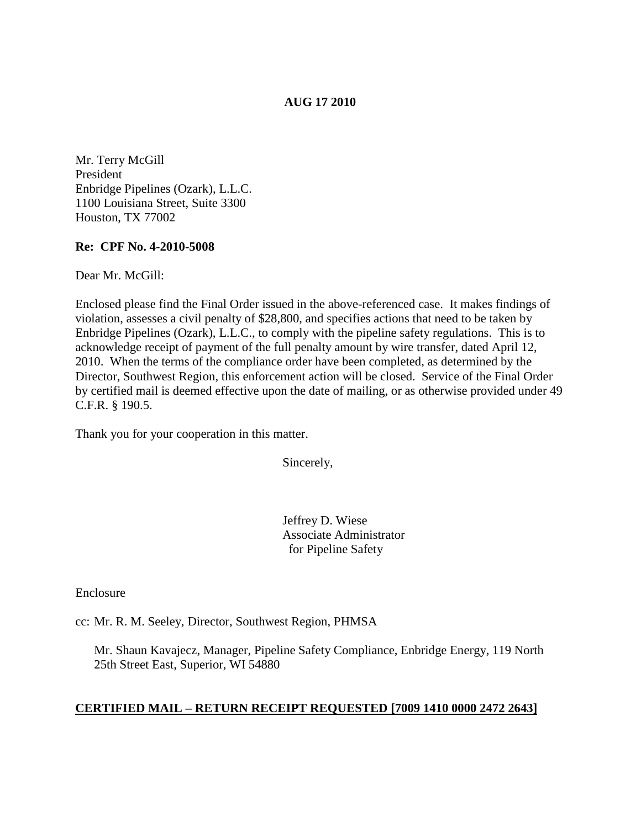# **AUG 17 2010**

Mr. Terry McGill President Enbridge Pipelines (Ozark), L.L.C. 1100 Louisiana Street, Suite 3300 Houston, TX 77002

### **Re: CPF No. 4-2010-5008**

Dear Mr. McGill:

Enclosed please find the Final Order issued in the above-referenced case. It makes findings of violation, assesses a civil penalty of \$28,800, and specifies actions that need to be taken by Enbridge Pipelines (Ozark), L.L.C., to comply with the pipeline safety regulations. This is to acknowledge receipt of payment of the full penalty amount by wire transfer, dated April 12, 2010. When the terms of the compliance order have been completed, as determined by the Director, Southwest Region, this enforcement action will be closed. Service of the Final Order by certified mail is deemed effective upon the date of mailing, or as otherwise provided under 49 C.F.R. § 190.5.

Thank you for your cooperation in this matter.

Sincerely,

Jeffrey D. Wiese Associate Administrator for Pipeline Safety

Enclosure

cc: Mr. R. M. Seeley, Director, Southwest Region, PHMSA

Mr. Shaun Kavajecz, Manager, Pipeline Safety Compliance, Enbridge Energy, 119 North 25th Street East, Superior, WI 54880

### **CERTIFIED MAIL – RETURN RECEIPT REQUESTED [7009 1410 0000 2472 2643]**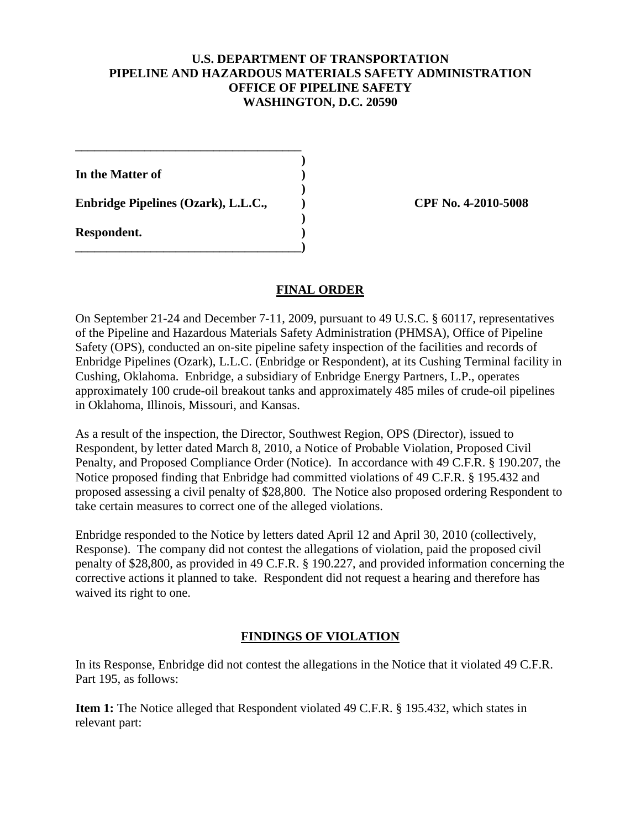# **U.S. DEPARTMENT OF TRANSPORTATION PIPELINE AND HAZARDOUS MATERIALS SAFETY ADMINISTRATION OFFICE OF PIPELINE SAFETY WASHINGTON, D.C. 20590**

**) In the Matter of ) ) Enbridge Pipelines (Ozark), L.L.C., ) CPF No. 4-2010-5008 ) Respondent. )**

**\_\_\_\_\_\_\_\_\_\_\_\_\_\_\_\_\_\_\_\_\_\_\_\_\_\_\_\_\_\_\_\_\_\_\_\_)**

**\_\_\_\_\_\_\_\_\_\_\_\_\_\_\_\_\_\_\_\_\_\_\_\_\_\_\_\_\_\_\_\_\_\_\_\_**

### **FINAL ORDER**

On September 21-24 and December 7-11, 2009, pursuant to 49 U.S.C. § 60117, representatives of the Pipeline and Hazardous Materials Safety Administration (PHMSA), Office of Pipeline Safety (OPS), conducted an on-site pipeline safety inspection of the facilities and records of Enbridge Pipelines (Ozark), L.L.C. (Enbridge or Respondent), at its Cushing Terminal facility in Cushing, Oklahoma. Enbridge, a subsidiary of Enbridge Energy Partners, L.P., operates approximately 100 crude-oil breakout tanks and approximately 485 miles of crude-oil pipelines in Oklahoma, Illinois, Missouri, and Kansas.

As a result of the inspection, the Director, Southwest Region, OPS (Director), issued to Respondent, by letter dated March 8, 2010, a Notice of Probable Violation, Proposed Civil Penalty, and Proposed Compliance Order (Notice). In accordance with 49 C.F.R. § 190.207, the Notice proposed finding that Enbridge had committed violations of 49 C.F.R. § 195.432 and proposed assessing a civil penalty of \$28,800. The Notice also proposed ordering Respondent to take certain measures to correct one of the alleged violations.

Enbridge responded to the Notice by letters dated April 12 and April 30, 2010 (collectively, Response). The company did not contest the allegations of violation, paid the proposed civil penalty of \$28,800, as provided in 49 C.F.R. § 190.227, and provided information concerning the corrective actions it planned to take. Respondent did not request a hearing and therefore has waived its right to one.

### **FINDINGS OF VIOLATION**

In its Response, Enbridge did not contest the allegations in the Notice that it violated 49 C.F.R. Part 195, as follows:

**Item 1:** The Notice alleged that Respondent violated 49 C.F.R. § 195.432, which states in relevant part: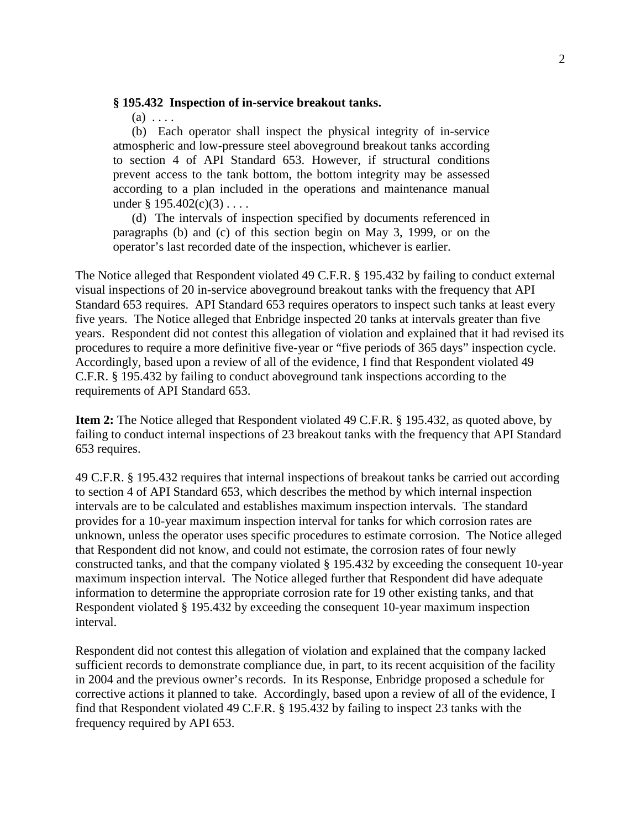#### **§ 195.432 Inspection of in-service breakout tanks.**

 $(a) \ldots$ 

 (b) Each operator shall inspect the physical integrity of in-service atmospheric and low-pressure steel aboveground breakout tanks according to section 4 of API Standard 653. However, if structural conditions prevent access to the tank bottom, the bottom integrity may be assessed according to a plan included in the operations and maintenance manual under  $\S 195.402(c)(3) \ldots$ .

 (d) The intervals of inspection specified by documents referenced in paragraphs (b) and (c) of this section begin on May 3, 1999, or on the operator's last recorded date of the inspection, whichever is earlier.

The Notice alleged that Respondent violated 49 C.F.R. § 195.432 by failing to conduct external visual inspections of 20 in-service aboveground breakout tanks with the frequency that API Standard 653 requires. API Standard 653 requires operators to inspect such tanks at least every five years. The Notice alleged that Enbridge inspected 20 tanks at intervals greater than five years. Respondent did not contest this allegation of violation and explained that it had revised its procedures to require a more definitive five-year or "five periods of 365 days" inspection cycle. Accordingly, based upon a review of all of the evidence, I find that Respondent violated 49 C.F.R. § 195.432 by failing to conduct aboveground tank inspections according to the requirements of API Standard 653.

**Item 2:** The Notice alleged that Respondent violated 49 C.F.R. § 195.432, as quoted above, by failing to conduct internal inspections of 23 breakout tanks with the frequency that API Standard 653 requires.

49 C.F.R. § 195.432 requires that internal inspections of breakout tanks be carried out according to section 4 of API Standard 653, which describes the method by which internal inspection intervals are to be calculated and establishes maximum inspection intervals. The standard provides for a 10-year maximum inspection interval for tanks for which corrosion rates are unknown, unless the operator uses specific procedures to estimate corrosion. The Notice alleged that Respondent did not know, and could not estimate, the corrosion rates of four newly constructed tanks, and that the company violated § 195.432 by exceeding the consequent 10-year maximum inspection interval. The Notice alleged further that Respondent did have adequate information to determine the appropriate corrosion rate for 19 other existing tanks, and that Respondent violated § 195.432 by exceeding the consequent 10-year maximum inspection interval.

Respondent did not contest this allegation of violation and explained that the company lacked sufficient records to demonstrate compliance due, in part, to its recent acquisition of the facility in 2004 and the previous owner's records. In its Response, Enbridge proposed a schedule for corrective actions it planned to take. Accordingly, based upon a review of all of the evidence, I find that Respondent violated 49 C.F.R. § 195.432 by failing to inspect 23 tanks with the frequency required by API 653.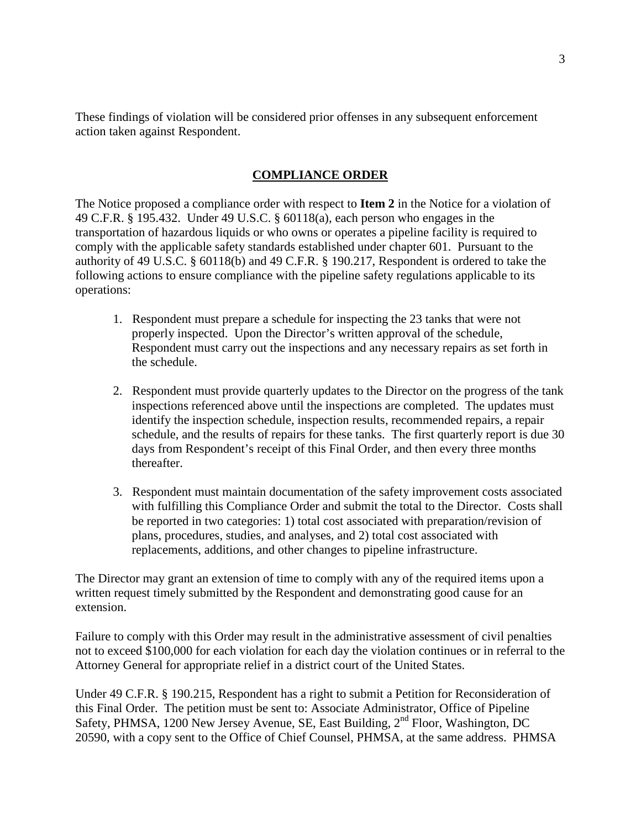These findings of violation will be considered prior offenses in any subsequent enforcement action taken against Respondent.

# **COMPLIANCE ORDER**

The Notice proposed a compliance order with respect to **Item 2** in the Notice for a violation of 49 C.F.R. § 195.432. Under 49 U.S.C. § 60118(a), each person who engages in the transportation of hazardous liquids or who owns or operates a pipeline facility is required to comply with the applicable safety standards established under chapter 601. Pursuant to the authority of 49 U.S.C. § 60118(b) and 49 C.F.R. § 190.217, Respondent is ordered to take the following actions to ensure compliance with the pipeline safety regulations applicable to its operations:

- 1. Respondent must prepare a schedule for inspecting the 23 tanks that were not properly inspected. Upon the Director's written approval of the schedule, Respondent must carry out the inspections and any necessary repairs as set forth in the schedule.
- 2. Respondent must provide quarterly updates to the Director on the progress of the tank inspections referenced above until the inspections are completed. The updates must identify the inspection schedule, inspection results, recommended repairs, a repair schedule, and the results of repairs for these tanks. The first quarterly report is due 30 days from Respondent's receipt of this Final Order, and then every three months thereafter.
- 3. Respondent must maintain documentation of the safety improvement costs associated with fulfilling this Compliance Order and submit the total to the Director. Costs shall be reported in two categories: 1) total cost associated with preparation/revision of plans, procedures, studies, and analyses, and 2) total cost associated with replacements, additions, and other changes to pipeline infrastructure.

The Director may grant an extension of time to comply with any of the required items upon a written request timely submitted by the Respondent and demonstrating good cause for an extension.

Failure to comply with this Order may result in the administrative assessment of civil penalties not to exceed \$100,000 for each violation for each day the violation continues or in referral to the Attorney General for appropriate relief in a district court of the United States.

Under 49 C.F.R. § 190.215, Respondent has a right to submit a Petition for Reconsideration of this Final Order. The petition must be sent to: Associate Administrator, Office of Pipeline Safety, PHMSA, 1200 New Jersey Avenue, SE, East Building, 2<sup>nd</sup> Floor, Washington, DC 20590, with a copy sent to the Office of Chief Counsel, PHMSA, at the same address. PHMSA